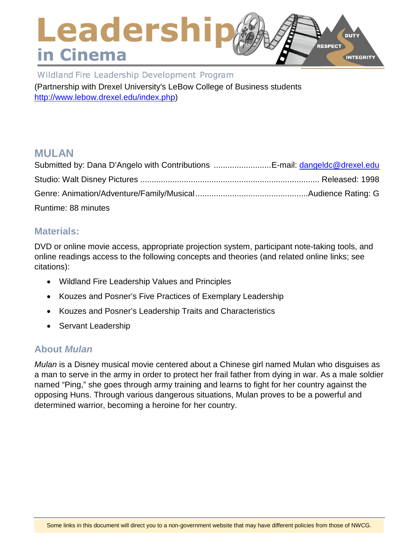# Leadershi **DUTY** RESPECT in Cinema **INTEGRITY**

Wildland Fire Leadership Development Program

(Partnership with Drexel University's LeBow College of Business students [http://www.lebow.drexel.edu/index.php\)](http://www.lebow.drexel.edu/index.php)

# **MULAN**

| Submitted by: Dana D'Angelo with Contributions E-mail: dangeldc@drexel.edu |  |
|----------------------------------------------------------------------------|--|
|                                                                            |  |
|                                                                            |  |
| Runtime: 88 minutes                                                        |  |

## **Materials:**

DVD or online movie access, appropriate projection system, participant note-taking tools, and online readings access to the following concepts and theories (and related online links; see citations):

- Wildland Fire Leadership Values and Principles
- Kouzes and Posner's Five Practices of Exemplary Leadership
- Kouzes and Posner's Leadership Traits and Characteristics
- Servant Leadership

## **About** *Mulan*

*Mulan* is a Disney musical movie centered about a Chinese girl named Mulan who disguises as a man to serve in the army in order to protect her frail father from dying in war. As a male soldier named "Ping," she goes through army training and learns to fight for her country against the opposing Huns. Through various dangerous situations, Mulan proves to be a powerful and determined warrior, becoming a heroine for her country.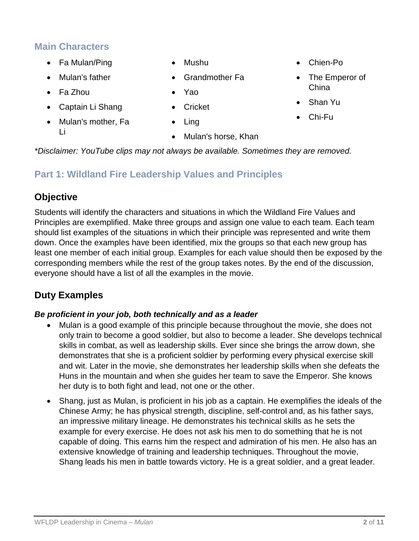# **Main Characters**

- Fa Mulan/Ping
- Mulan's father
- Fa Zhou
- Captain Li Shang
- Mulan's mother, Fa Li
- Mushu
- Grandmother Fa
- Yao
- Cricket
- Ling
- Mulan's horse, Khan
- Chien-Po
- The Emperor of China
- Shan Yu
- Chi-Fu

*\*Disclaimer: YouTube clips may not always be available. Sometimes they are removed.*

# **Part 1: Wildland Fire Leadership Values and Principles**

# **Objective**

Students will identify the characters and situations in which the Wildland Fire Values and Principles are exemplified. Make three groups and assign one value to each team. Each team should list examples of the situations in which their principle was represented and write them down. Once the examples have been identified, mix the groups so that each new group has least one member of each initial group. Examples for each value should then be exposed by the corresponding members while the rest of the group takes notes. By the end of the discussion, everyone should have a list of all the examples in the movie.

# **Duty Examples**

## *Be proficient in your job, both technically and as a leader*

- Mulan is a good example of this principle because throughout the movie, she does not only train to become a good soldier, but also to become a leader. She develops technical skills in combat, as well as leadership skills. Ever since she brings the arrow down, she demonstrates that she is a proficient soldier by performing every physical exercise skill and wit. Later in the movie, she demonstrates her leadership skills when she defeats the Huns in the mountain and when she guides her team to save the Emperor. She knows her duty is to both fight and lead, not one or the other.
- Shang, just as Mulan, is proficient in his job as a captain. He exemplifies the ideals of the Chinese Army; he has physical strength, discipline, self-control and, as his father says, an impressive military lineage. He demonstrates his technical skills as he sets the example for every exercise. He does not ask his men to do something that he is not capable of doing. This earns him the respect and admiration of his men. He also has an extensive knowledge of training and leadership techniques. Throughout the movie, Shang leads his men in battle towards victory. He is a great soldier, and a great leader.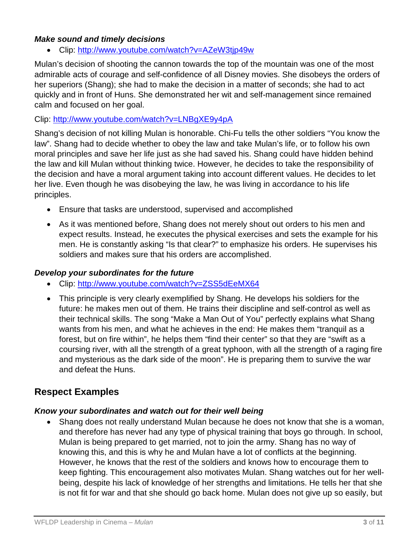### *Make sound and timely decisions*

• Clip:<http://www.youtube.com/watch?v=AZeW3tjp49w>

Mulan's decision of shooting the cannon towards the top of the mountain was one of the most admirable acts of courage and self-confidence of all Disney movies. She disobeys the orders of her superiors (Shang); she had to make the decision in a matter of seconds; she had to act quickly and in front of Huns. She demonstrated her wit and self-management since remained calm and focused on her goal.

#### Clip:<http://www.youtube.com/watch?v=LNBgXE9y4pA>

Shang's decision of not killing Mulan is honorable. Chi-Fu tells the other soldiers "You know the law". Shang had to decide whether to obey the law and take Mulan's life, or to follow his own moral principles and save her life just as she had saved his. Shang could have hidden behind the law and kill Mulan without thinking twice. However, he decides to take the responsibility of the decision and have a moral argument taking into account different values. He decides to let her live. Even though he was disobeying the law, he was living in accordance to his life principles.

- Ensure that tasks are understood, supervised and accomplished
- As it was mentioned before, Shang does not merely shout out orders to his men and expect results. Instead, he executes the physical exercises and sets the example for his men. He is constantly asking "Is that clear?" to emphasize his orders. He supervises his soldiers and makes sure that his orders are accomplished.

#### *Develop your subordinates for the future*

- Clip:<http://www.youtube.com/watch?v=ZSS5dEeMX64>
- This principle is very clearly exemplified by Shang. He develops his soldiers for the future: he makes men out of them. He trains their discipline and self-control as well as their technical skills. The song "Make a Man Out of You" perfectly explains what Shang wants from his men, and what he achieves in the end: He makes them "tranquil as a forest, but on fire within", he helps them "find their center" so that they are "swift as a coursing river, with all the strength of a great typhoon, with all the strength of a raging fire and mysterious as the dark side of the moon". He is preparing them to survive the war and defeat the Huns.

## **Respect Examples**

#### *Know your subordinates and watch out for their well being*

• Shang does not really understand Mulan because he does not know that she is a woman, and therefore has never had any type of physical training that boys go through. In school, Mulan is being prepared to get married, not to join the army. Shang has no way of knowing this, and this is why he and Mulan have a lot of conflicts at the beginning. However, he knows that the rest of the soldiers and knows how to encourage them to keep fighting. This encouragement also motivates Mulan. Shang watches out for her wellbeing, despite his lack of knowledge of her strengths and limitations. He tells her that she is not fit for war and that she should go back home. Mulan does not give up so easily, but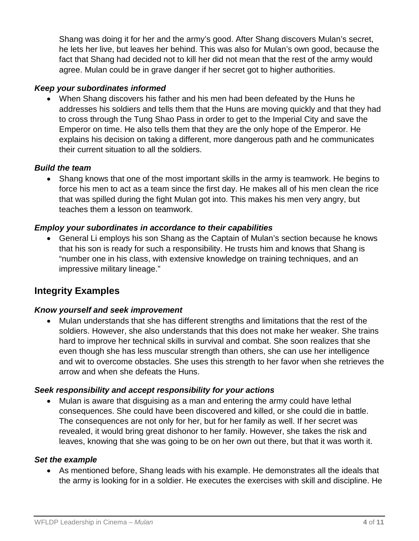Shang was doing it for her and the army's good. After Shang discovers Mulan's secret, he lets her live, but leaves her behind. This was also for Mulan's own good, because the fact that Shang had decided not to kill her did not mean that the rest of the army would agree. Mulan could be in grave danger if her secret got to higher authorities.

#### *Keep your subordinates informed*

• When Shang discovers his father and his men had been defeated by the Huns he addresses his soldiers and tells them that the Huns are moving quickly and that they had to cross through the Tung Shao Pass in order to get to the Imperial City and save the Emperor on time. He also tells them that they are the only hope of the Emperor. He explains his decision on taking a different, more dangerous path and he communicates their current situation to all the soldiers.

#### *Build the team*

• Shang knows that one of the most important skills in the army is teamwork. He begins to force his men to act as a team since the first day. He makes all of his men clean the rice that was spilled during the fight Mulan got into. This makes his men very angry, but teaches them a lesson on teamwork.

#### *Employ your subordinates in accordance to their capabilities*

• General Li employs his son Shang as the Captain of Mulan's section because he knows that his son is ready for such a responsibility. He trusts him and knows that Shang is "number one in his class, with extensive knowledge on training techniques, and an impressive military lineage."

## **Integrity Examples**

#### *Know yourself and seek improvement*

• Mulan understands that she has different strengths and limitations that the rest of the soldiers. However, she also understands that this does not make her weaker. She trains hard to improve her technical skills in survival and combat. She soon realizes that she even though she has less muscular strength than others, she can use her intelligence and wit to overcome obstacles. She uses this strength to her favor when she retrieves the arrow and when she defeats the Huns.

#### *Seek responsibility and accept responsibility for your actions*

• Mulan is aware that disguising as a man and entering the army could have lethal consequences. She could have been discovered and killed, or she could die in battle. The consequences are not only for her, but for her family as well. If her secret was revealed, it would bring great dishonor to her family. However, she takes the risk and leaves, knowing that she was going to be on her own out there, but that it was worth it.

#### *Set the example*

• As mentioned before, Shang leads with his example. He demonstrates all the ideals that the army is looking for in a soldier. He executes the exercises with skill and discipline. He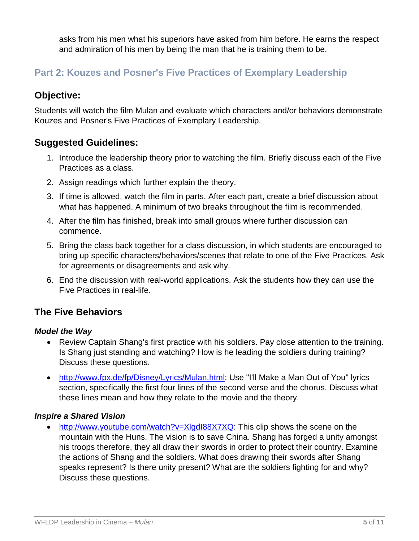asks from his men what his superiors have asked from him before. He earns the respect and admiration of his men by being the man that he is training them to be.

# **Part 2: Kouzes and Posner's Five Practices of Exemplary Leadership**

# **Objective:**

Students will watch the film Mulan and evaluate which characters and/or behaviors demonstrate Kouzes and Posner's Five Practices of Exemplary Leadership.

# **Suggested Guidelines:**

- 1. Introduce the leadership theory prior to watching the film. Briefly discuss each of the Five Practices as a class.
- 2. Assign readings which further explain the theory.
- 3. If time is allowed, watch the film in parts. After each part, create a brief discussion about what has happened. A minimum of two breaks throughout the film is recommended.
- 4. After the film has finished, break into small groups where further discussion can commence.
- 5. Bring the class back together for a class discussion, in which students are encouraged to bring up specific characters/behaviors/scenes that relate to one of the Five Practices. Ask for agreements or disagreements and ask why.
- 6. End the discussion with real-world applications. Ask the students how they can use the Five Practices in real-life.

# **The Five Behaviors**

## *Model the Way*

- Review Captain Shang's first practice with his soldiers. Pay close attention to the training. Is Shang just standing and watching? How is he leading the soldiers during training? Discuss these questions.
- [http://www.fpx.de/fp/Disney/Lyrics/Mulan.html:](http://www.fpx.de/fp/Disney/Lyrics/Mulan.html) Use "I'll Make a Man Out of You" lyrics section, specifically the first four lines of the second verse and the chorus. Discuss what these lines mean and how they relate to the movie and the theory.

## *Inspire a Shared Vision*

• [http://www.youtube.com/watch?v=XlgdI88X7XQ:](http://www.youtube.com/watch?v=XlgdI88X7XQ) This clip shows the scene on the mountain with the Huns. The vision is to save China. Shang has forged a unity amongst his troops therefore, they all draw their swords in order to protect their country. Examine the actions of Shang and the soldiers. What does drawing their swords after Shang speaks represent? Is there unity present? What are the soldiers fighting for and why? Discuss these questions.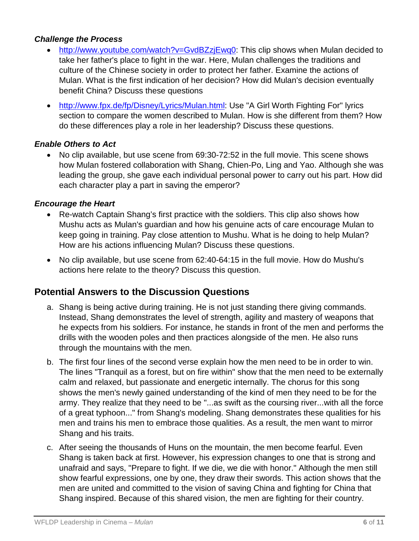## *Challenge the Process*

- [http://www.youtube.com/watch?v=GvdBZzjEwq0:](http://www.youtube.com/watch?v=GvdBZzjEwq0) This clip shows when Mulan decided to take her father's place to fight in the war. Here, Mulan challenges the traditions and culture of the Chinese society in order to protect her father. Examine the actions of Mulan. What is the first indication of her decision? How did Mulan's decision eventually benefit China? Discuss these questions
- [http://www.fpx.de/fp/Disney/Lyrics/Mulan.html:](http://www.fpx.de/fp/Disney/Lyrics/Mulan.html) Use "A Girl Worth Fighting For" lyrics section to compare the women described to Mulan. How is she different from them? How do these differences play a role in her leadership? Discuss these questions.

## *Enable Others to Act*

• No clip available, but use scene from 69:30-72:52 in the full movie. This scene shows how Mulan fostered collaboration with Shang, Chien-Po, Ling and Yao. Although she was leading the group, she gave each individual personal power to carry out his part. How did each character play a part in saving the emperor?

#### *Encourage the Heart*

- Re-watch Captain Shang's first practice with the soldiers. This clip also shows how Mushu acts as Mulan's guardian and how his genuine acts of care encourage Mulan to keep going in training. Pay close attention to Mushu. What is he doing to help Mulan? How are his actions influencing Mulan? Discuss these questions.
- No clip available, but use scene from 62:40-64:15 in the full movie. How do Mushu's actions here relate to the theory? Discuss this question.

## **Potential Answers to the Discussion Questions**

- a. Shang is being active during training. He is not just standing there giving commands. Instead, Shang demonstrates the level of strength, agility and mastery of weapons that he expects from his soldiers. For instance, he stands in front of the men and performs the drills with the wooden poles and then practices alongside of the men. He also runs through the mountains with the men.
- b. The first four lines of the second verse explain how the men need to be in order to win. The lines "Tranquil as a forest, but on fire within" show that the men need to be externally calm and relaxed, but passionate and energetic internally. The chorus for this song shows the men's newly gained understanding of the kind of men they need to be for the army. They realize that they need to be "...as swift as the coursing river...with all the force of a great typhoon..." from Shang's modeling. Shang demonstrates these qualities for his men and trains his men to embrace those qualities. As a result, the men want to mirror Shang and his traits.
- c. After seeing the thousands of Huns on the mountain, the men become fearful. Even Shang is taken back at first. However, his expression changes to one that is strong and unafraid and says, "Prepare to fight. If we die, we die with honor." Although the men still show fearful expressions, one by one, they draw their swords. This action shows that the men are united and committed to the vision of saving China and fighting for China that Shang inspired. Because of this shared vision, the men are fighting for their country.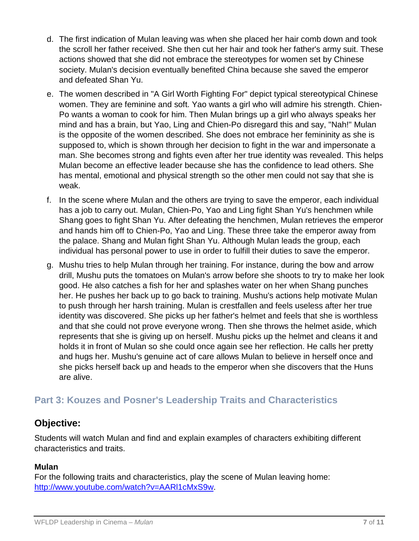- d. The first indication of Mulan leaving was when she placed her hair comb down and took the scroll her father received. She then cut her hair and took her father's army suit. These actions showed that she did not embrace the stereotypes for women set by Chinese society. Mulan's decision eventually benefited China because she saved the emperor and defeated Shan Yu.
- e. The women described in "A Girl Worth Fighting For" depict typical stereotypical Chinese women. They are feminine and soft. Yao wants a girl who will admire his strength. Chien-Po wants a woman to cook for him. Then Mulan brings up a girl who always speaks her mind and has a brain, but Yao, Ling and Chien-Po disregard this and say, "Nah!" Mulan is the opposite of the women described. She does not embrace her femininity as she is supposed to, which is shown through her decision to fight in the war and impersonate a man. She becomes strong and fights even after her true identity was revealed. This helps Mulan become an effective leader because she has the confidence to lead others. She has mental, emotional and physical strength so the other men could not say that she is weak.
- f. In the scene where Mulan and the others are trying to save the emperor, each individual has a job to carry out. Mulan, Chien-Po, Yao and Ling fight Shan Yu's henchmen while Shang goes to fight Shan Yu. After defeating the henchmen, Mulan retrieves the emperor and hands him off to Chien-Po, Yao and Ling. These three take the emperor away from the palace. Shang and Mulan fight Shan Yu. Although Mulan leads the group, each individual has personal power to use in order to fulfill their duties to save the emperor.
- g. Mushu tries to help Mulan through her training. For instance, during the bow and arrow drill, Mushu puts the tomatoes on Mulan's arrow before she shoots to try to make her look good. He also catches a fish for her and splashes water on her when Shang punches her. He pushes her back up to go back to training. Mushu's actions help motivate Mulan to push through her harsh training. Mulan is crestfallen and feels useless after her true identity was discovered. She picks up her father's helmet and feels that she is worthless and that she could not prove everyone wrong. Then she throws the helmet aside, which represents that she is giving up on herself. Mushu picks up the helmet and cleans it and holds it in front of Mulan so she could once again see her reflection. He calls her pretty and hugs her. Mushu's genuine act of care allows Mulan to believe in herself once and she picks herself back up and heads to the emperor when she discovers that the Huns are alive.

# **Part 3: Kouzes and Posner's Leadership Traits and Characteristics**

## **Objective:**

Students will watch Mulan and find and explain examples of characters exhibiting different characteristics and traits.

## **Mulan**

For the following traits and characteristics, play the scene of Mulan leaving home: [http://www.youtube.com/watch?v=AARl1cMxS9w.](http://www.youtube.com/watch?v=AARl1cMxS9w)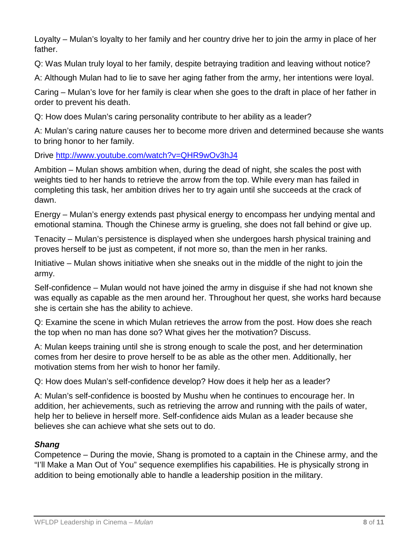Loyalty – Mulan's loyalty to her family and her country drive her to join the army in place of her father.

Q: Was Mulan truly loyal to her family, despite betraying tradition and leaving without notice?

A: Although Mulan had to lie to save her aging father from the army, her intentions were loyal.

Caring – Mulan's love for her family is clear when she goes to the draft in place of her father in order to prevent his death.

Q: How does Mulan's caring personality contribute to her ability as a leader?

A: Mulan's caring nature causes her to become more driven and determined because she wants to bring honor to her family.

Drive<http://www.youtube.com/watch?v=QHR9wOv3hJ4>

Ambition – Mulan shows ambition when, during the dead of night, she scales the post with weights tied to her hands to retrieve the arrow from the top. While every man has failed in completing this task, her ambition drives her to try again until she succeeds at the crack of dawn.

Energy – Mulan's energy extends past physical energy to encompass her undying mental and emotional stamina. Though the Chinese army is grueling, she does not fall behind or give up.

Tenacity – Mulan's persistence is displayed when she undergoes harsh physical training and proves herself to be just as competent, if not more so, than the men in her ranks.

Initiative – Mulan shows initiative when she sneaks out in the middle of the night to join the army.

Self-confidence – Mulan would not have joined the army in disguise if she had not known she was equally as capable as the men around her. Throughout her quest, she works hard because she is certain she has the ability to achieve.

Q: Examine the scene in which Mulan retrieves the arrow from the post. How does she reach the top when no man has done so? What gives her the motivation? Discuss.

A: Mulan keeps training until she is strong enough to scale the post, and her determination comes from her desire to prove herself to be as able as the other men. Additionally, her motivation stems from her wish to honor her family.

Q: How does Mulan's self-confidence develop? How does it help her as a leader?

A: Mulan's self-confidence is boosted by Mushu when he continues to encourage her. In addition, her achievements, such as retrieving the arrow and running with the pails of water, help her to believe in herself more. Self-confidence aids Mulan as a leader because she believes she can achieve what she sets out to do.

## *Shang*

Competence – During the movie, Shang is promoted to a captain in the Chinese army, and the "I'll Make a Man Out of You" sequence exemplifies his capabilities. He is physically strong in addition to being emotionally able to handle a leadership position in the military.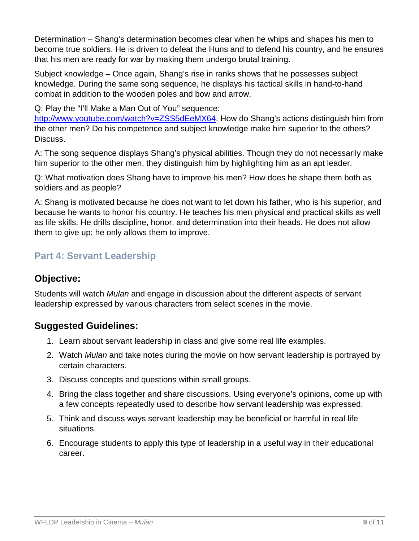Determination – Shang's determination becomes clear when he whips and shapes his men to become true soldiers. He is driven to defeat the Huns and to defend his country, and he ensures that his men are ready for war by making them undergo brutal training.

Subject knowledge – Once again, Shang's rise in ranks shows that he possesses subject knowledge. During the same song sequence, he displays his tactical skills in hand-to-hand combat in addition to the wooden poles and bow and arrow.

Q: Play the "I'll Make a Man Out of You" sequence:

[http://www.youtube.com/watch?v=ZSS5dEeMX64.](http://www.youtube.com/watch?v=ZSS5dEeMX64) How do Shang's actions distinguish him from the other men? Do his competence and subject knowledge make him superior to the others? Discuss.

A: The song sequence displays Shang's physical abilities. Though they do not necessarily make him superior to the other men, they distinguish him by highlighting him as an apt leader.

Q: What motivation does Shang have to improve his men? How does he shape them both as soldiers and as people?

A: Shang is motivated because he does not want to let down his father, who is his superior, and because he wants to honor his country. He teaches his men physical and practical skills as well as life skills. He drills discipline, honor, and determination into their heads. He does not allow them to give up; he only allows them to improve.

# **Part 4: Servant Leadership**

# **Objective:**

Students will watch *Mulan* and engage in discussion about the different aspects of servant leadership expressed by various characters from select scenes in the movie.

# **Suggested Guidelines:**

- 1. Learn about servant leadership in class and give some real life examples.
- 2. Watch *Mulan* and take notes during the movie on how servant leadership is portrayed by certain characters.
- 3. Discuss concepts and questions within small groups.
- 4. Bring the class together and share discussions. Using everyone's opinions, come up with a few concepts repeatedly used to describe how servant leadership was expressed.
- 5. Think and discuss ways servant leadership may be beneficial or harmful in real life situations.
- 6. Encourage students to apply this type of leadership in a useful way in their educational career.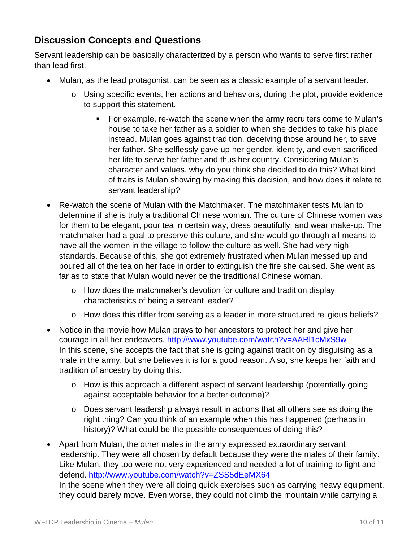# **Discussion Concepts and Questions**

Servant leadership can be basically characterized by a person who wants to serve first rather than lead first.

- Mulan, as the lead protagonist, can be seen as a classic example of a servant leader.
	- o Using specific events, her actions and behaviors, during the plot, provide evidence to support this statement.
		- For example, re-watch the scene when the army recruiters come to Mulan's house to take her father as a soldier to when she decides to take his place instead. Mulan goes against tradition, deceiving those around her, to save her father. She selflessly gave up her gender, identity, and even sacrificed her life to serve her father and thus her country. Considering Mulan's character and values, why do you think she decided to do this? What kind of traits is Mulan showing by making this decision, and how does it relate to servant leadership?
- Re-watch the scene of Mulan with the Matchmaker. The matchmaker tests Mulan to determine if she is truly a traditional Chinese woman. The culture of Chinese women was for them to be elegant, pour tea in certain way, dress beautifully, and wear make-up. The matchmaker had a goal to preserve this culture, and she would go through all means to have all the women in the village to follow the culture as well. She had very high standards. Because of this, she got extremely frustrated when Mulan messed up and poured all of the tea on her face in order to extinguish the fire she caused. She went as far as to state that Mulan would never be the traditional Chinese woman.
	- o How does the matchmaker's devotion for culture and tradition display characteristics of being a servant leader?
	- o How does this differ from serving as a leader in more structured religious beliefs?
- Notice in the movie how Mulan prays to her ancestors to protect her and give her courage in all her endeavors.<http://www.youtube.com/watch?v=AARl1cMxS9w> In this scene, she accepts the fact that she is going against tradition by disguising as a male in the army, but she believes it is for a good reason. Also, she keeps her faith and tradition of ancestry by doing this.
	- o How is this approach a different aspect of servant leadership (potentially going against acceptable behavior for a better outcome)?
	- o Does servant leadership always result in actions that all others see as doing the right thing? Can you think of an example when this has happened (perhaps in history)? What could be the possible consequences of doing this?
- Apart from Mulan, the other males in the army expressed extraordinary servant leadership. They were all chosen by default because they were the males of their family. Like Mulan, they too were not very experienced and needed a lot of training to fight and defend.<http://www.youtube.com/watch?v=ZSS5dEeMX64> In the scene when they were all doing quick exercises such as carrying heavy equipment, they could barely move. Even worse, they could not climb the mountain while carrying a